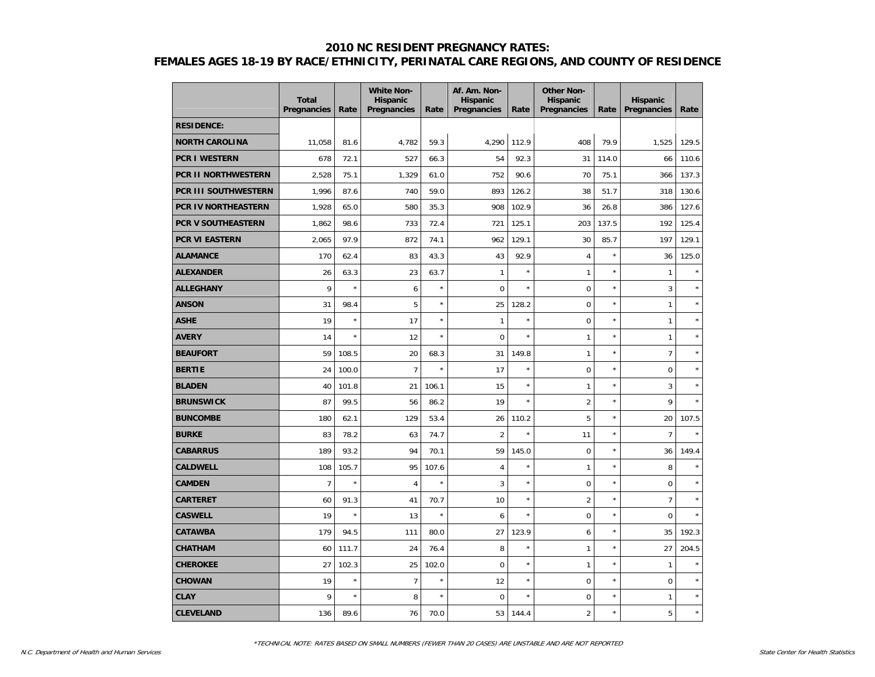|                            | <b>Total</b><br>Pregnancies | Rate    | <b>White Non-</b><br><b>Hispanic</b><br>Pregnancies | Rate    | Af. Am. Non-<br><b>Hispanic</b><br>Pregnancies | Rate    | <b>Other Non-</b><br><b>Hispanic</b><br>Pregnancies | Rate       | <b>Hispanic</b><br>Pregnancies | Rate    |
|----------------------------|-----------------------------|---------|-----------------------------------------------------|---------|------------------------------------------------|---------|-----------------------------------------------------|------------|--------------------------------|---------|
| <b>RESIDENCE:</b>          |                             |         |                                                     |         |                                                |         |                                                     |            |                                |         |
| <b>NORTH CAROLINA</b>      | 11,058                      | 81.6    | 4,782                                               | 59.3    | 4,290                                          | 112.9   | 408                                                 | 79.9       | 1,525                          | 129.5   |
| <b>PCR I WESTERN</b>       | 678                         | 72.1    | 527                                                 | 66.3    | 54                                             | 92.3    | 31                                                  | 114.0      | 66                             | 110.6   |
| <b>PCR II NORTHWESTERN</b> | 2,528                       | 75.1    | 1,329                                               | 61.0    | 752                                            | 90.6    | 70                                                  | 75.1       | 366                            | 137.3   |
| PCR III SOUTHWESTERN       | 1,996                       | 87.6    | 740                                                 | 59.0    | 893                                            | 126.2   | 38                                                  | 51.7       | 318                            | 130.6   |
| <b>PCR IV NORTHEASTERN</b> | 1,928                       | 65.0    | 580                                                 | 35.3    | 908                                            | 102.9   | 36                                                  | 26.8       | 386                            | 127.6   |
| <b>PCR V SOUTHEASTERN</b>  | 1,862                       | 98.6    | 733                                                 | 72.4    | 721                                            | 125.1   | 203                                                 | 137.5      | 192                            | 125.4   |
| <b>PCR VI EASTERN</b>      | 2,065                       | 97.9    | 872                                                 | 74.1    | 962                                            | 129.1   | 30                                                  | 85.7       | 197                            | 129.1   |
| <b>ALAMANCE</b>            | 170                         | 62.4    | 83                                                  | 43.3    | 43                                             | 92.9    | $\sqrt{4}$                                          | $\star$    | 36                             | 125.0   |
| <b>ALEXANDER</b>           | 26                          | 63.3    | 23                                                  | 63.7    | $\mathbf{1}$                                   | $\star$ | $\mathbf{1}$                                        | $\star$    | 1                              |         |
| <b>ALLEGHANY</b>           | 9                           | $\star$ | 6                                                   | $\star$ | $\mathbf 0$                                    | $\star$ | $\mathbf 0$                                         | $\star$    | 3                              |         |
| <b>ANSON</b>               | 31                          | 98.4    | 5                                                   | $\star$ | 25                                             | 128.2   | $\mathbf 0$                                         | ×          | $\mathbf{1}$                   |         |
| <b>ASHE</b>                | 19                          | $\star$ | 17                                                  | $\star$ | $\mathbf{1}$                                   | $\star$ | $\mathbf 0$                                         | ×          | $\mathbf{1}$                   | ×       |
| <b>AVERY</b>               | 14                          | $\star$ | 12                                                  | $\star$ | $\pmb{0}$                                      | $\star$ | $\mathbf{1}$                                        | ×          | $\mathbf{1}$                   | $\star$ |
| <b>BEAUFORT</b>            | 59                          | 108.5   | 20                                                  | 68.3    | 31                                             | 149.8   | $\mathbf{1}$                                        | $\star$    | $\overline{7}$                 | $\star$ |
| <b>BERTIE</b>              | 24                          | 100.0   | $\overline{7}$                                      | $\star$ | 17                                             | $\star$ | $\mathbf 0$                                         | $^{\star}$ | $\mathbf 0$                    |         |
| <b>BLADEN</b>              | 40                          | 101.8   | 21                                                  | 106.1   | 15                                             | $\star$ | $\mathbf{1}$                                        | ×          | 3                              |         |
| <b>BRUNSWICK</b>           | 87                          | 99.5    | 56                                                  | 86.2    | 19                                             | $\star$ | $\overline{2}$                                      | ×          | 9                              | ×       |
| <b>BUNCOMBE</b>            | 180                         | 62.1    | 129                                                 | 53.4    | 26                                             | 110.2   | 5                                                   | ×          | 20                             | 107.5   |
| <b>BURKE</b>               | 83                          | 78.2    | 63                                                  | 74.7    | $\overline{2}$                                 | $\star$ | 11                                                  | $\star$    | $\overline{7}$                 |         |
| <b>CABARRUS</b>            | 189                         | 93.2    | 94                                                  | 70.1    | 59                                             | 145.0   | $\mathbf 0$                                         | $\star$    | 36                             | 149.4   |
| <b>CALDWELL</b>            | 108                         | 105.7   | 95                                                  | 107.6   | $\overline{4}$                                 | $\star$ | $\mathbf{1}$                                        | $\star$    | 8                              |         |
| <b>CAMDEN</b>              | $\overline{7}$              | $\star$ | $\overline{4}$                                      | $\star$ | 3                                              | $\star$ | $\mathbf 0$                                         | ×          | $\mathbf 0$                    |         |
| <b>CARTERET</b>            | 60                          | 91.3    | 41                                                  | 70.7    | 10                                             | $\star$ | $\overline{2}$                                      | ×          | $\overline{7}$                 |         |
| <b>CASWELL</b>             | 19                          | $\star$ | 13                                                  | $\star$ | 6                                              | $\star$ | $\mathbf 0$                                         | ×          | $\pmb{0}$                      |         |
| <b>CATAWBA</b>             | 179                         | 94.5    | 111                                                 | 80.0    | 27                                             | 123.9   | 6                                                   | $\star$    | 35                             | 192.3   |
| <b>CHATHAM</b>             | 60                          | 111.7   | 24                                                  | 76.4    | 8                                              | $\star$ | $\mathbf{1}$                                        | $\star$    | 27                             | 204.5   |
| <b>CHEROKEE</b>            | 27                          | 102.3   | 25                                                  | 102.0   | $\mathbf 0$                                    | $\star$ | $\mathbf{1}$                                        | ×          | $\mathbf{1}$                   |         |
| <b>CHOWAN</b>              | 19                          | $\star$ | $\overline{7}$                                      | $\star$ | 12                                             | $\star$ | $\mathbf 0$                                         | ×          | $\mathbf 0$                    |         |
| <b>CLAY</b>                | 9                           | $\star$ | 8                                                   | $\star$ | $\mathbf 0$                                    | $\star$ | $\mathbf 0$                                         | ×          | $\mathbf{1}$                   |         |
| <b>CLEVELAND</b>           | 136                         | 89.6    | 76                                                  | 70.0    | 53                                             | 144.4   | $\overline{c}$                                      | ×          | 5                              | $\star$ |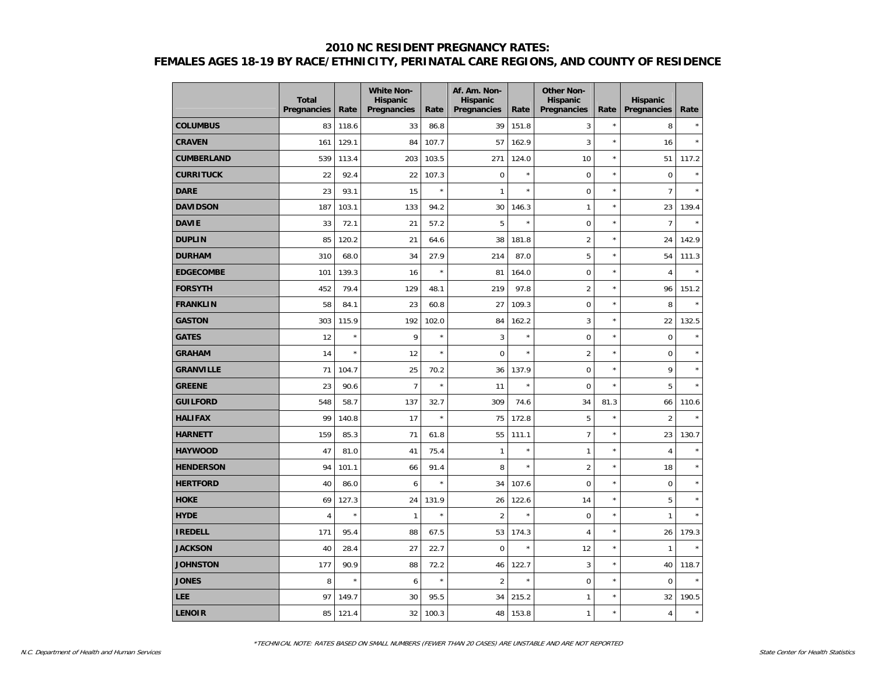|                   | <b>Total</b><br><b>Pregnancies</b> | Rate    | <b>White Non-</b><br><b>Hispanic</b><br>Pregnancies | Rate    | Af. Am. Non-<br><b>Hispanic</b><br>Pregnancies | Rate    | <b>Other Non-</b><br><b>Hispanic</b><br>Pregnancies | Rate       | <b>Hispanic</b><br>Pregnancies | Rate    |
|-------------------|------------------------------------|---------|-----------------------------------------------------|---------|------------------------------------------------|---------|-----------------------------------------------------|------------|--------------------------------|---------|
| <b>COLUMBUS</b>   | 83                                 | 118.6   | 33                                                  | 86.8    | 39                                             | 151.8   | 3                                                   | $^{\star}$ | 8                              |         |
| <b>CRAVEN</b>     | 161                                | 129.1   | 84                                                  | 107.7   | 57                                             | 162.9   | 3                                                   | $\star$    | 16                             | $\star$ |
| <b>CUMBERLAND</b> | 539                                | 113.4   | 203                                                 | 103.5   | 271                                            | 124.0   | 10                                                  | ×          | 51                             | 117.2   |
| <b>CURRITUCK</b>  | 22                                 | 92.4    | 22                                                  | 107.3   | $\mathbf 0$                                    | $\star$ | $\mathbf 0$                                         | $\star$    | $\pmb{0}$                      | $\star$ |
| <b>DARE</b>       | 23                                 | 93.1    | 15                                                  | $\star$ | $\mathbf{1}$                                   | $\star$ | $\mathbf 0$                                         | ×          | $\overline{7}$                 |         |
| <b>DAVIDSON</b>   | 187                                | 103.1   | 133                                                 | 94.2    | 30                                             | 146.3   | $\mathbf{1}$                                        | ×          | 23                             | 139.4   |
| <b>DAVIE</b>      | 33                                 | 72.1    | 21                                                  | 57.2    | 5                                              | $\star$ | $\mathbf 0$                                         | ×          | $\overline{7}$                 | $\star$ |
| <b>DUPLIN</b>     | 85                                 | 120.2   | 21                                                  | 64.6    | 38                                             | 181.8   | $\overline{2}$                                      | ×          | 24                             | 142.9   |
| <b>DURHAM</b>     | 310                                | 68.0    | 34                                                  | 27.9    | 214                                            | 87.0    | 5                                                   | ×          | 54                             | 111.3   |
| <b>EDGECOMBE</b>  | 101                                | 139.3   | 16                                                  | $\star$ | 81                                             | 164.0   | $\mathbf 0$                                         | $\star$    | $\overline{4}$                 | $\star$ |
| <b>FORSYTH</b>    | 452                                | 79.4    | 129                                                 | 48.1    | 219                                            | 97.8    | $\overline{2}$                                      | ×          | 96                             | 151.2   |
| <b>FRANKLIN</b>   | 58                                 | 84.1    | 23                                                  | 60.8    | 27                                             | 109.3   | $\mathbf 0$                                         | ×          | 8                              |         |
| <b>GASTON</b>     | 303                                | 115.9   | 192                                                 | 102.0   | 84                                             | 162.2   | 3                                                   | ×          | 22                             | 132.5   |
| <b>GATES</b>      | 12                                 | $\star$ | 9                                                   | $\star$ | 3                                              | $\star$ | $\mathbf 0$                                         | $\star$    | $\pmb{0}$                      |         |
| <b>GRAHAM</b>     | 14                                 | $\star$ | 12                                                  | $\star$ | $\mathbf 0$                                    | $\star$ | $\overline{2}$                                      | $\star$    | $\mathbf 0$                    |         |
| <b>GRANVILLE</b>  | 71                                 | 104.7   | 25                                                  | 70.2    | 36                                             | 137.9   | $\mathbf 0$                                         | $^{\star}$ | 9                              | ×       |
| <b>GREENE</b>     | 23                                 | 90.6    | $\overline{7}$                                      | $\star$ | 11                                             | $\star$ | $\mathbf 0$                                         | ×          | 5                              |         |
| <b>GUILFORD</b>   | 548                                | 58.7    | 137                                                 | 32.7    | 309                                            | 74.6    | 34                                                  | 81.3       | 66                             | 110.6   |
| <b>HALIFAX</b>    | 99                                 | 140.8   | 17                                                  | $\star$ | 75                                             | 172.8   | 5                                                   | ×          | $\overline{2}$                 | ×       |
| <b>HARNETT</b>    | 159                                | 85.3    | 71                                                  | 61.8    | 55                                             | 111.1   | $\overline{7}$                                      | $\star$    | 23                             | 130.7   |
| <b>HAYWOOD</b>    | 47                                 | 81.0    | 41                                                  | 75.4    | $\mathbf{1}$                                   | $\star$ | $\mathbf{1}$                                        | $\star$    | $\overline{4}$                 |         |
| <b>HENDERSON</b>  | 94                                 | 101.1   | 66                                                  | 91.4    | 8                                              | $\star$ | $\overline{2}$                                      | $\star$    | 18                             |         |
| <b>HERTFORD</b>   | 40                                 | 86.0    | 6                                                   | $\star$ | 34                                             | 107.6   | $\mathbf 0$                                         | ×          | $\mathbf 0$                    |         |
| <b>HOKE</b>       | 69                                 | 127.3   | 24                                                  | 131.9   | 26                                             | 122.6   | 14                                                  | ×          | 5                              | ×       |
| <b>HYDE</b>       | 4                                  | $\star$ | $\mathbf{1}$                                        | $\star$ | $\overline{2}$                                 | $\star$ | $\mathbf 0$                                         | ×          | $\mathbf{1}$                   | ×       |
| <b>IREDELL</b>    | 171                                | 95.4    | 88                                                  | 67.5    | 53                                             | 174.3   | 4                                                   | $\star$    | 26                             | 179.3   |
| <b>JACKSON</b>    | 40                                 | 28.4    | 27                                                  | 22.7    | $\mathbf 0$                                    | $\star$ | 12                                                  | $\star$    | $\mathbf{1}$                   |         |
| <b>JOHNSTON</b>   | 177                                | 90.9    | 88                                                  | 72.2    | 46                                             | 122.7   | 3                                                   | ×          | 40                             | 118.7   |
| <b>JONES</b>      | 8                                  | $\star$ | 6                                                   | $\star$ | $\overline{2}$                                 | $\star$ | $\mathbf 0$                                         | ×          | $\mathbf 0$                    | ×       |
| LEE               | 97                                 | 149.7   | 30                                                  | 95.5    | 34                                             | 215.2   | $\mathbf{1}$                                        | ×          | 32                             | 190.5   |
| <b>LENOIR</b>     | 85                                 | 121.4   | 32                                                  | 100.3   | 48                                             | 153.8   | $\mathbf{1}$                                        | ×          | $\overline{4}$                 | $\star$ |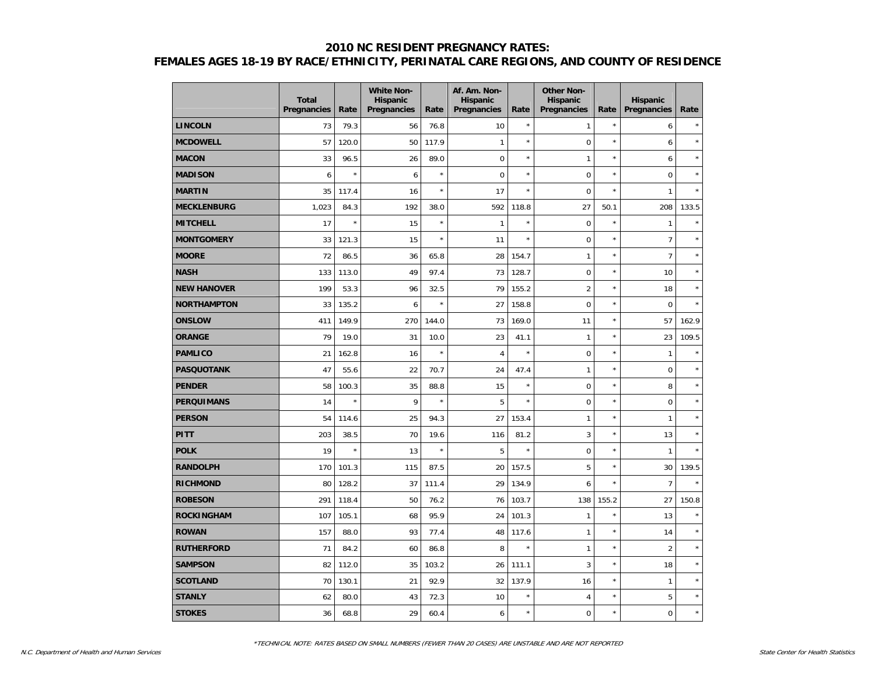|                    | <b>Total</b><br><b>Pregnancies</b> | Rate    | <b>White Non-</b><br><b>Hispanic</b><br>Pregnancies | Rate    | Af. Am. Non-<br><b>Hispanic</b><br>Pregnancies | Rate    | <b>Other Non-</b><br><b>Hispanic</b><br>Pregnancies | Rate       | <b>Hispanic</b><br>Pregnancies | Rate    |
|--------------------|------------------------------------|---------|-----------------------------------------------------|---------|------------------------------------------------|---------|-----------------------------------------------------|------------|--------------------------------|---------|
| <b>LINCOLN</b>     | 73                                 | 79.3    | 56                                                  | 76.8    | 10                                             | $\star$ | $\mathbf{1}$                                        | $^{\star}$ | 6                              |         |
| <b>MCDOWELL</b>    | 57                                 | 120.0   | 50                                                  | 117.9   | $\mathbf{1}$                                   | $\star$ | $\mathbf 0$                                         | $\star$    | 6                              | $\star$ |
| <b>MACON</b>       | 33                                 | 96.5    | 26                                                  | 89.0    | $\mathbf 0$                                    | $\star$ | $\mathbf{1}$                                        | $\star$    | 6                              | $\star$ |
| <b>MADISON</b>     | 6                                  | $\star$ | 6                                                   | $\star$ | $\mathbf 0$                                    | $\star$ | $\mathbf 0$                                         | $\star$    | $\mathbf 0$                    | $\star$ |
| <b>MARTIN</b>      | 35                                 | 117.4   | 16                                                  | $\star$ | 17                                             | $\star$ | $\mathbf 0$                                         | $\star$    | $\mathbf{1}$                   |         |
| <b>MECKLENBURG</b> | 1,023                              | 84.3    | 192                                                 | 38.0    | 592                                            | 118.8   | 27                                                  | 50.1       | 208                            | 133.5   |
| <b>MITCHELL</b>    | 17                                 | $\star$ | 15                                                  | $\star$ | $\mathbf{1}$                                   | $\star$ | $\mathbf 0$                                         | $\star$    | $\mathbf{1}$                   | $\star$ |
| <b>MONTGOMERY</b>  | 33                                 | 121.3   | 15                                                  | $\star$ | 11                                             | $\star$ | $\mathbf 0$                                         | $\star$    | $\overline{7}$                 | $\star$ |
| <b>MOORE</b>       | 72                                 | 86.5    | 36                                                  | 65.8    | 28                                             | 154.7   | $\mathbf{1}$                                        | $\star$    | $\overline{7}$                 | $\star$ |
| <b>NASH</b>        | 133                                | 113.0   | 49                                                  | 97.4    | 73                                             | 128.7   | $\mathbf 0$                                         | ×          | 10                             | ×       |
| <b>NEW HANOVER</b> | 199                                | 53.3    | 96                                                  | 32.5    | 79                                             | 155.2   | $\overline{2}$                                      | ×          | 18                             | ×       |
| <b>NORTHAMPTON</b> | 33                                 | 135.2   | 6                                                   | $\star$ | 27                                             | 158.8   | $\mathbf 0$                                         | $\star$    | $\pmb{0}$                      | $\star$ |
| <b>ONSLOW</b>      | 411                                | 149.9   | 270                                                 | 144.0   | 73                                             | 169.0   | 11                                                  | $\star$    | 57                             | 162.9   |
| <b>ORANGE</b>      | 79                                 | 19.0    | 31                                                  | 10.0    | 23                                             | 41.1    | $\mathbf{1}$                                        | $^{\star}$ | 23                             | 109.5   |
| <b>PAMLICO</b>     | 21                                 | 162.8   | 16                                                  | $\star$ | $\overline{4}$                                 | $\star$ | $\mathbf 0$                                         | ×          | $\mathbf{1}$                   |         |
| <b>PASQUOTANK</b>  | 47                                 | 55.6    | 22                                                  | 70.7    | 24                                             | 47.4    | $\mathbf{1}$                                        | ×          | $\mathbf 0$                    |         |
| <b>PENDER</b>      | 58                                 | 100.3   | 35                                                  | 88.8    | 15                                             | $\star$ | $\pmb{0}$                                           | ×          | 8                              | ×       |
| <b>PERQUIMANS</b>  | 14                                 | $\star$ | 9                                                   | $\star$ | 5                                              | $\star$ | $\mathbf 0$                                         | $\star$    | $\pmb{0}$                      | $\star$ |
| <b>PERSON</b>      | 54                                 | 114.6   | 25                                                  | 94.3    | 27                                             | 153.4   | $\mathbf{1}$                                        | $\star$    | $\mathbf{1}$                   | $\star$ |
| <b>PITT</b>        | 203                                | 38.5    | 70                                                  | 19.6    | 116                                            | 81.2    | 3                                                   | ×          | 13                             | $\star$ |
| <b>POLK</b>        | 19                                 | $\star$ | 13                                                  | $\star$ | 5                                              | $\star$ | $\mathbf 0$                                         | ×          | $\mathbf{1}$                   |         |
| <b>RANDOLPH</b>    | 170                                | 101.3   | 115                                                 | 87.5    | 20                                             | 157.5   | 5                                                   | ×          | 30                             | 139.5   |
| <b>RICHMOND</b>    | 80                                 | 128.2   | 37                                                  | 111.4   | 29                                             | 134.9   | 6                                                   | ×          | $\overline{7}$                 | ×       |
| <b>ROBESON</b>     | 291                                | 118.4   | 50                                                  | 76.2    | 76                                             | 103.7   | 138                                                 | 155.2      | 27                             | 150.8   |
| <b>ROCKINGHAM</b>  | 107                                | 105.1   | 68                                                  | 95.9    | 24                                             | 101.3   | $\mathbf{1}$                                        | ×          | 13                             | ×       |
| <b>ROWAN</b>       | 157                                | 88.0    | 93                                                  | 77.4    | 48                                             | 117.6   | $\mathbf{1}$                                        | $\star$    | 14                             | ×       |
| <b>RUTHERFORD</b>  | 71                                 | 84.2    | 60                                                  | 86.8    | 8                                              | $\star$ | $\mathbf{1}$                                        | $\star$    | $\overline{2}$                 | ×       |
| <b>SAMPSON</b>     | 82                                 | 112.0   | 35                                                  | 103.2   | 26                                             | 111.1   | 3                                                   | ×          | 18                             | ×       |
| <b>SCOTLAND</b>    | 70                                 | 130.1   | 21                                                  | 92.9    | 32                                             | 137.9   | 16                                                  | ×          | $\mathbf{1}$                   | ×       |
| <b>STANLY</b>      | 62                                 | 80.0    | 43                                                  | 72.3    | 10                                             | $\star$ | 4                                                   | ×          | 5                              | $\star$ |
| <b>STOKES</b>      | 36                                 | 68.8    | 29                                                  | 60.4    | 6                                              | $\star$ | $\mathbf 0$                                         | ×          | $\mathbf 0$                    | $\star$ |